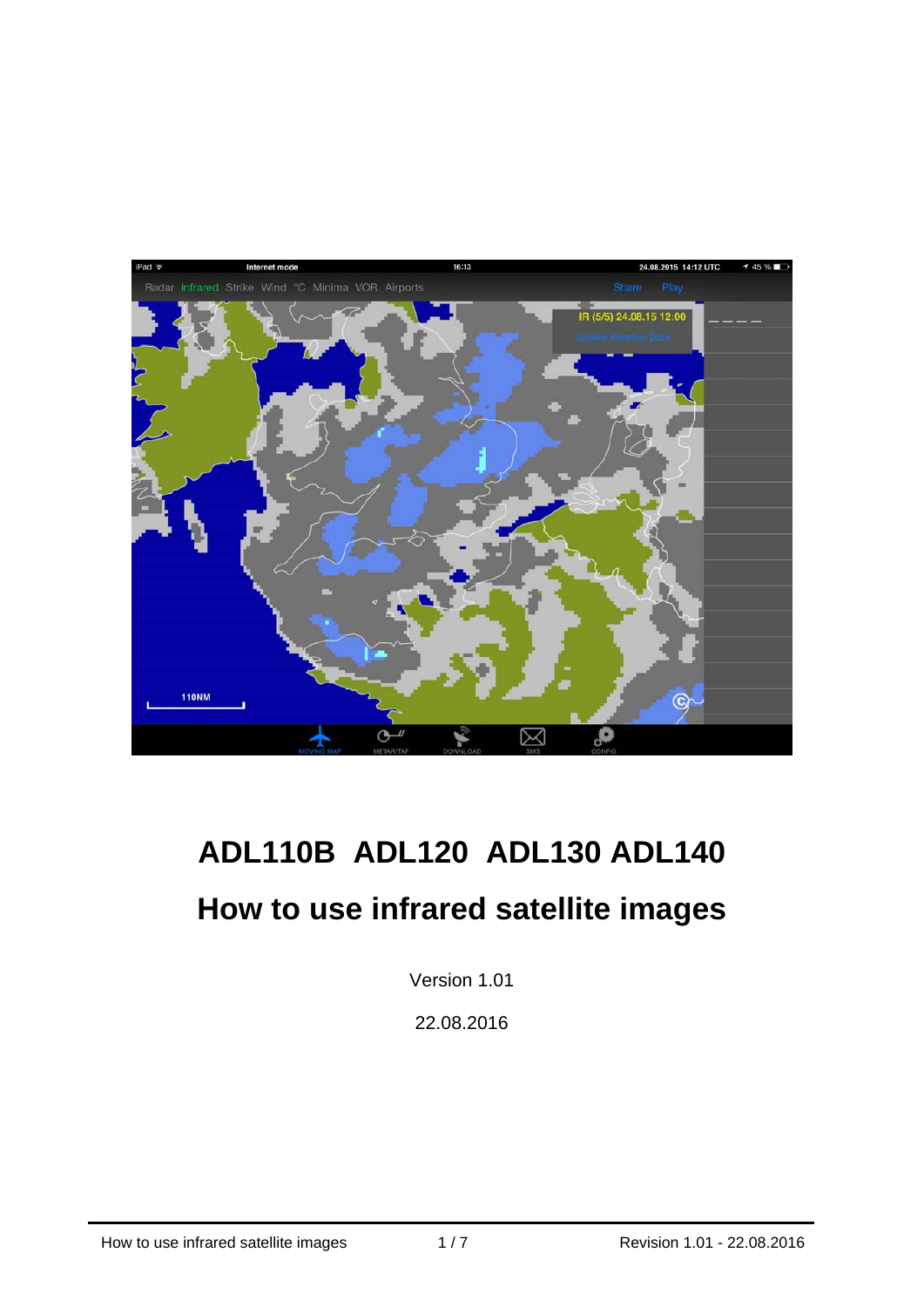

# **ADL110B ADL120 ADL130 ADL140 How to use infrared satellite images**

Version 1.01

22.08.2016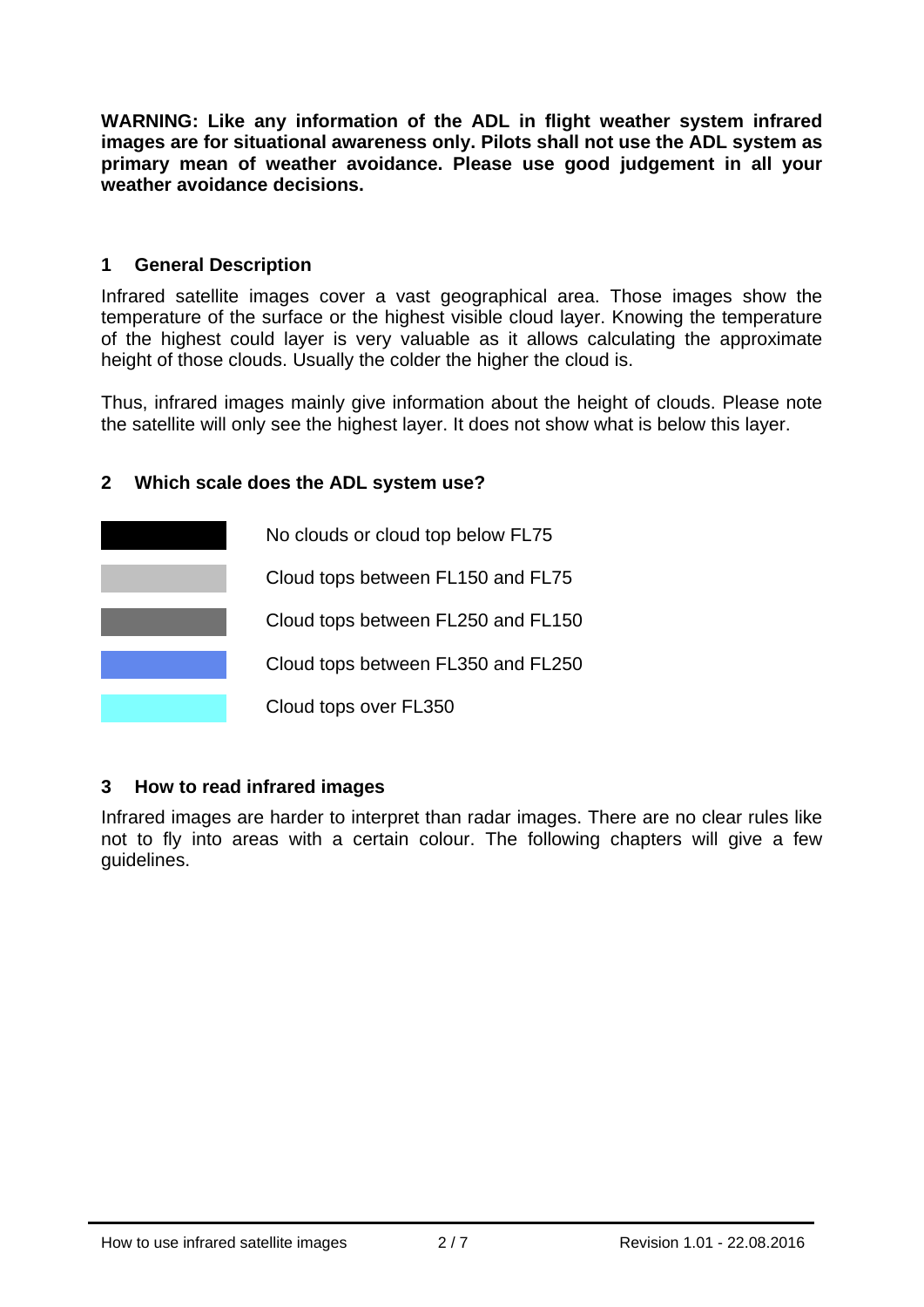**WARNING: Like any information of the ADL in flight weather system infrared images are for situational awareness only. Pilots shall not use the ADL system as primary mean of weather avoidance. Please use good judgement in all your weather avoidance decisions.** 

#### **1 General Description**

Infrared satellite images cover a vast geographical area. Those images show the temperature of the surface or the highest visible cloud layer. Knowing the temperature of the highest could layer is very valuable as it allows calculating the approximate height of those clouds. Usually the colder the higher the cloud is.

Thus, infrared images mainly give information about the height of clouds. Please note the satellite will only see the highest layer. It does not show what is below this layer.

#### **2 Which scale does the ADL system use?**



#### **3 How to read infrared images**

Infrared images are harder to interpret than radar images. There are no clear rules like not to fly into areas with a certain colour. The following chapters will give a few guidelines.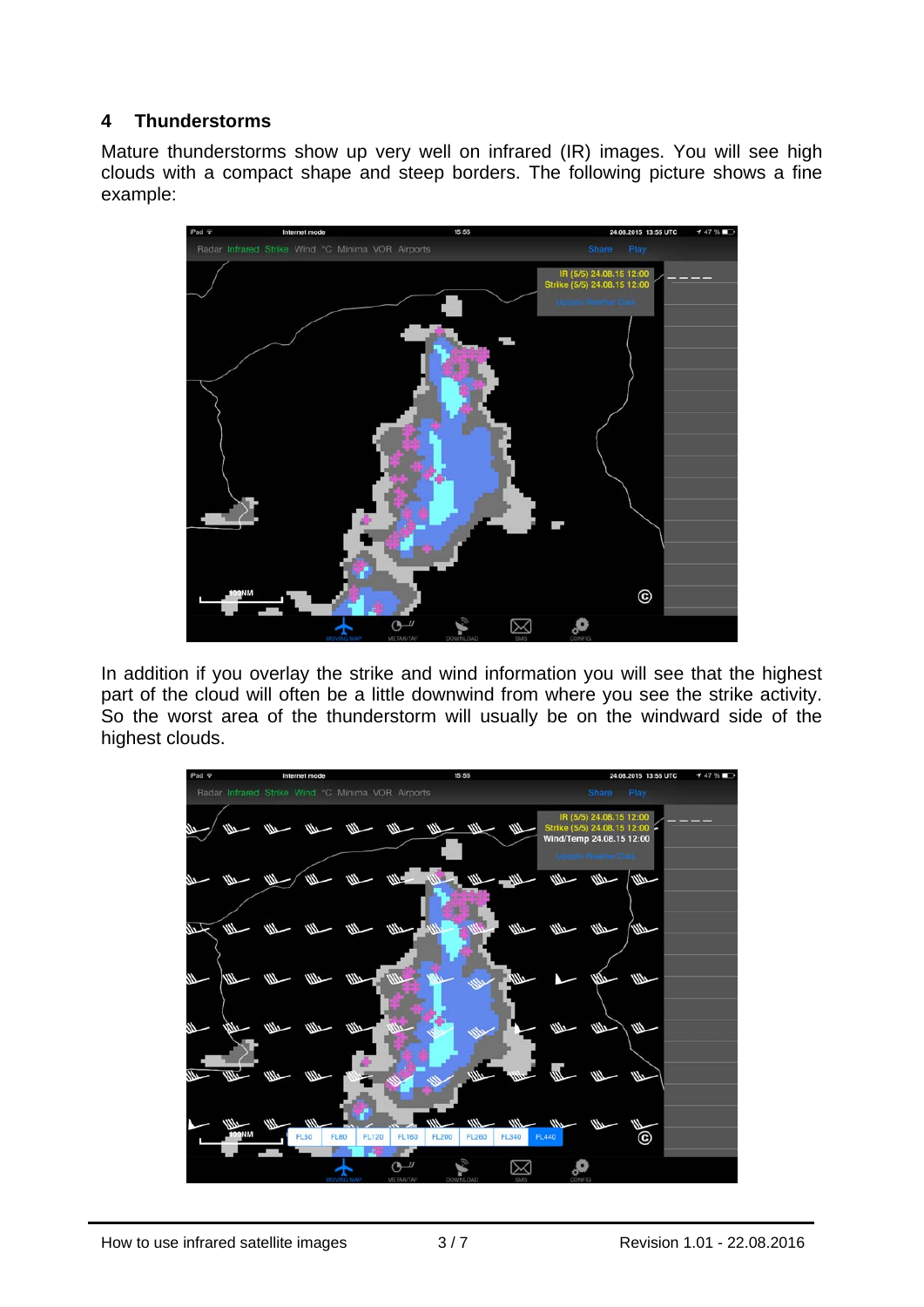## **4 Thunderstorms**

Mature thunderstorms show up very well on infrared (IR) images. You will see high clouds with a compact shape and steep borders. The following picture shows a fine example:



In addition if you overlay the strike and wind information you will see that the highest part of the cloud will often be a little downwind from where you see the strike activity. So the worst area of the thunderstorm will usually be on the windward side of the highest clouds.

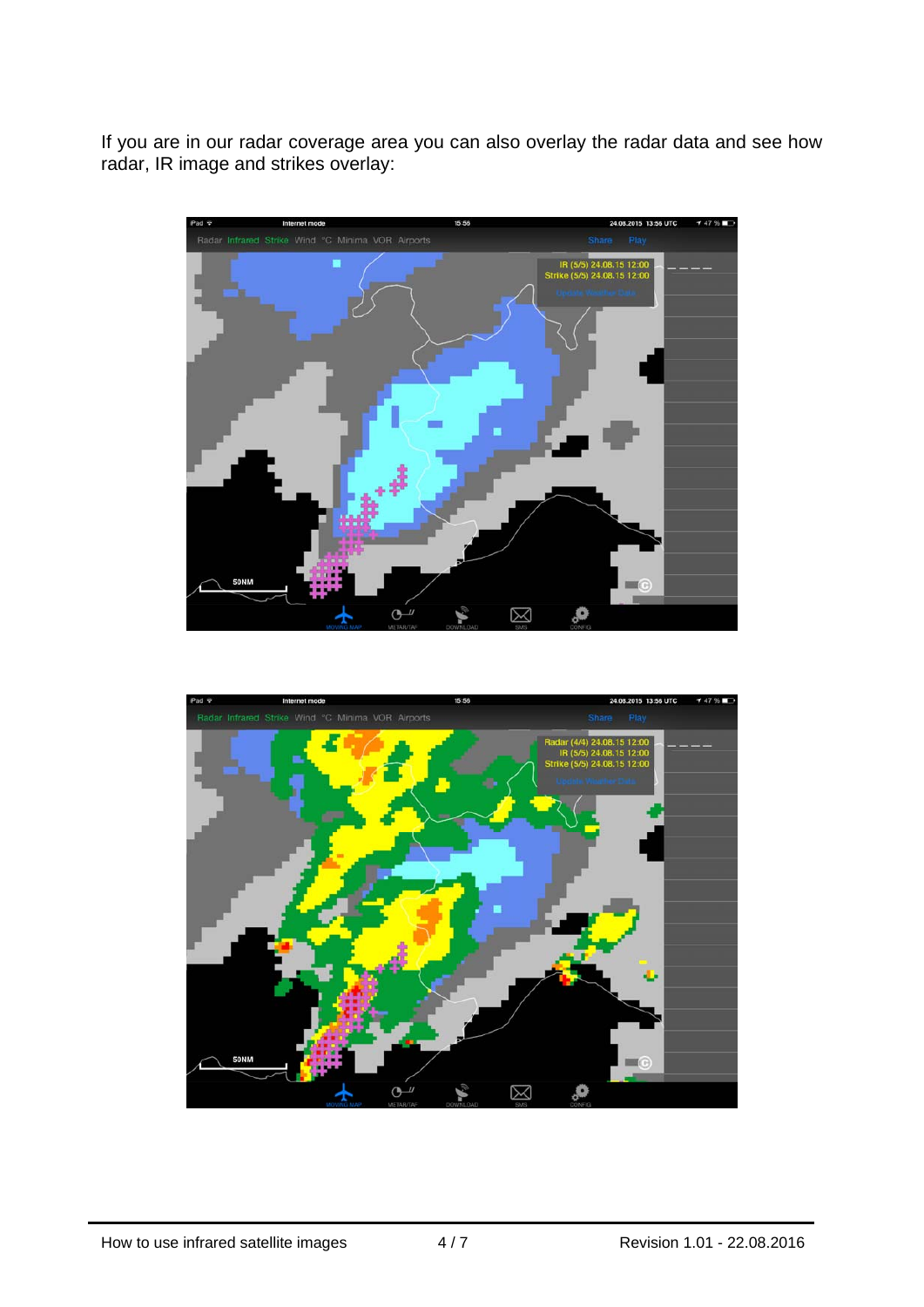If you are in our radar coverage area you can also overlay the radar data and see how radar, IR image and strikes overlay:



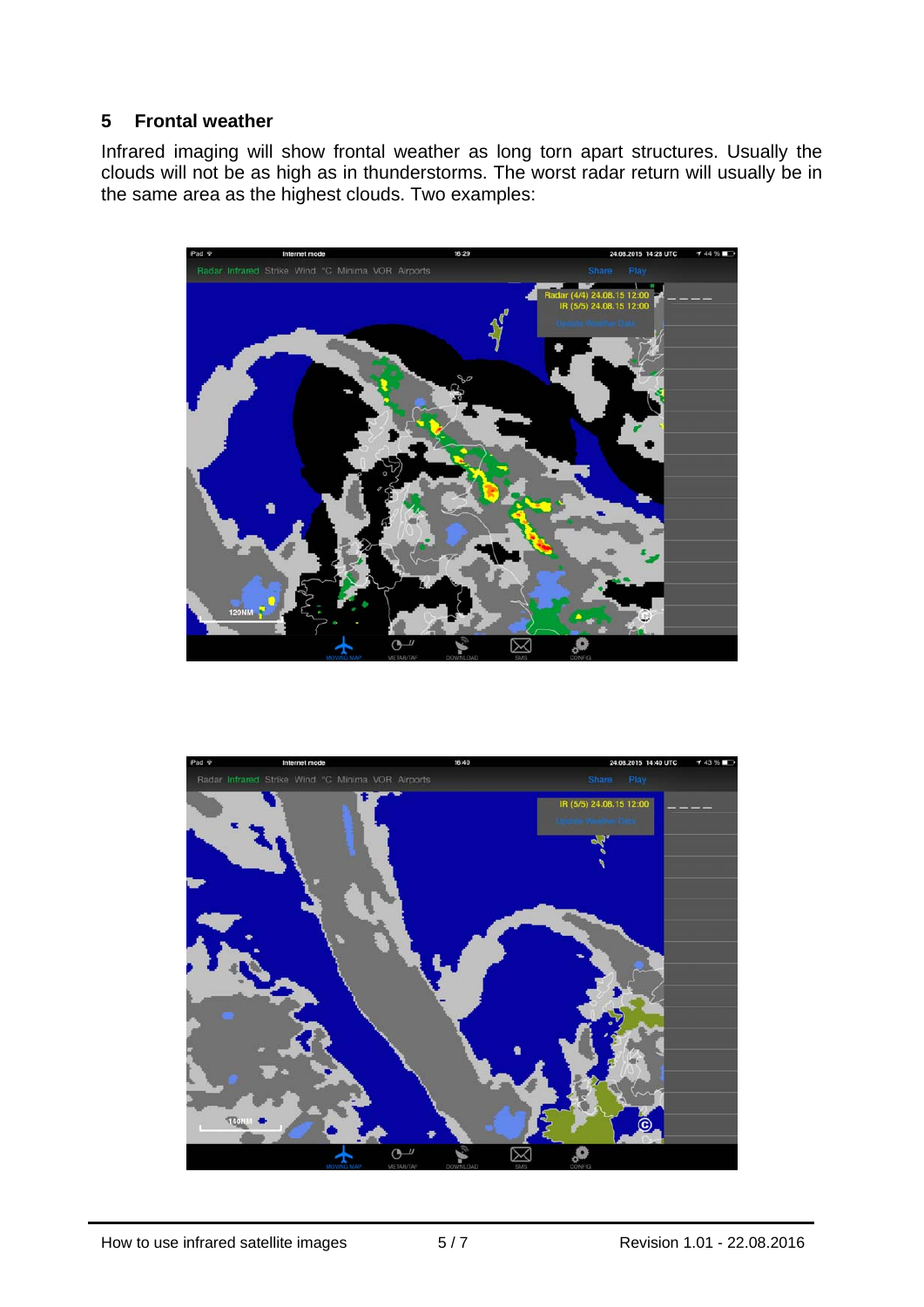# **5 Frontal weather**

Infrared imaging will show frontal weather as long torn apart structures. Usually the clouds will not be as high as in thunderstorms. The worst radar return will usually be in the same area as the highest clouds. Two examples:



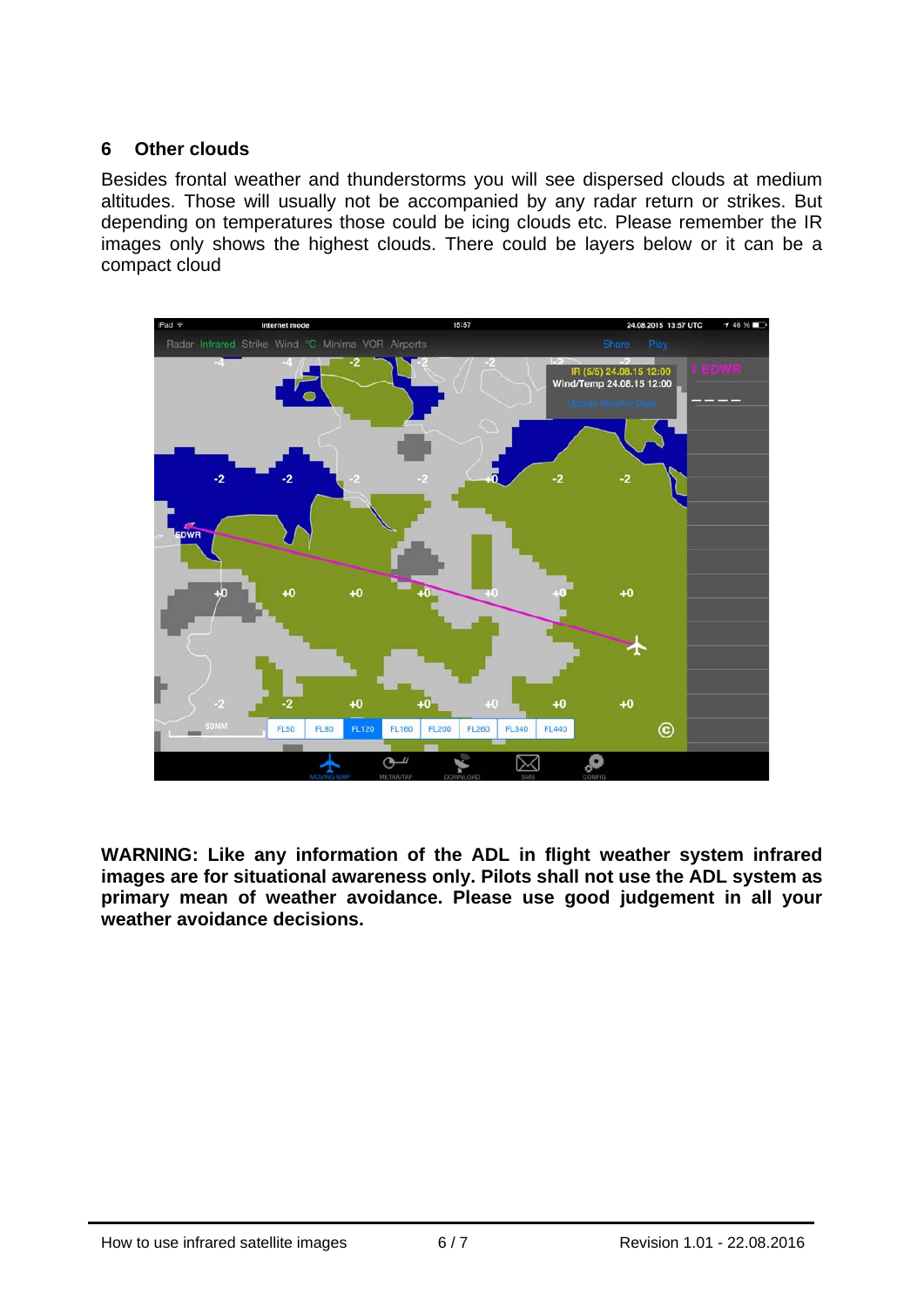## **6 Other clouds**

Besides frontal weather and thunderstorms you will see dispersed clouds at medium altitudes. Those will usually not be accompanied by any radar return or strikes. But depending on temperatures those could be icing clouds etc. Please remember the IR images only shows the highest clouds. There could be layers below or it can be a compact cloud



**WARNING: Like any information of the ADL in flight weather system infrared images are for situational awareness only. Pilots shall not use the ADL system as primary mean of weather avoidance. Please use good judgement in all your weather avoidance decisions.**